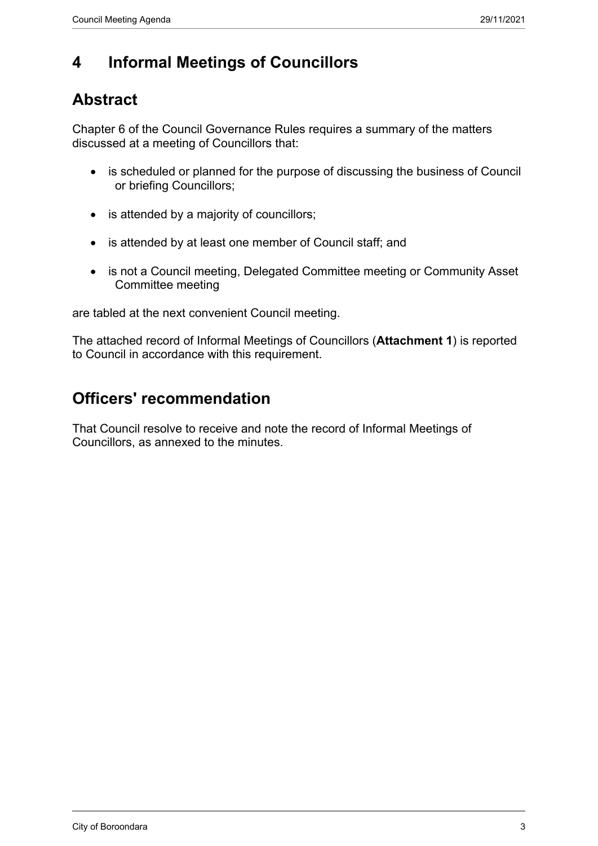### **4 Informal Meetings of Councillors**

#### **Abstract**

Chapter 6 of the Council Governance Rules requires a summary of the matters discussed at a meeting of Councillors that:

- is scheduled or planned for the purpose of discussing the business of Council or briefing Councillors;
- is attended by a majority of councillors;
- is attended by at least one member of Council staff; and
- is not a Council meeting, Delegated Committee meeting or Community Asset Committee meeting

are tabled at the next convenient Council meeting.

The attached record of Informal Meetings of Councillors (**Attachment 1**) is reported to Council in accordance with this requirement.

#### **Officers' recommendation**

That Council resolve to receive and note the record of Informal Meetings of Councillors, as annexed to the minutes.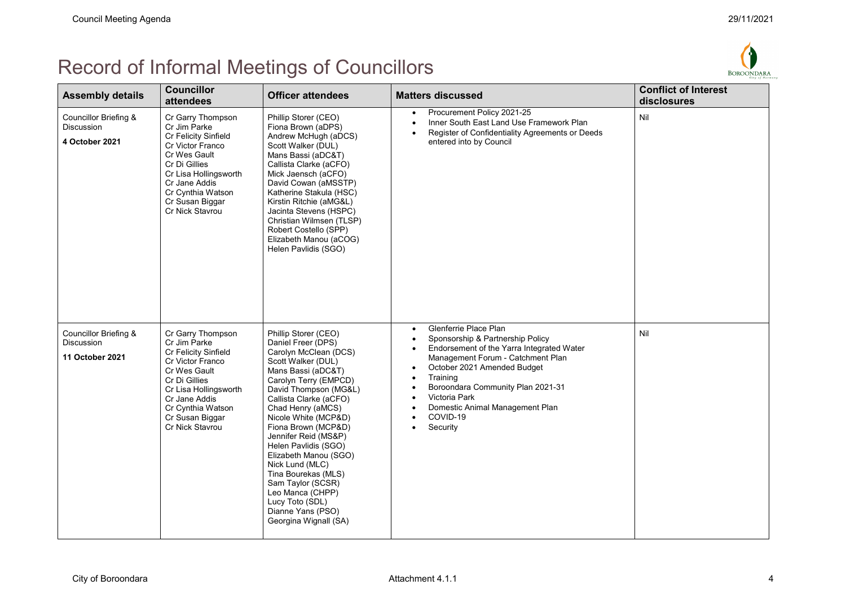# Record of Informal Meetings of Councillors



| <b>Assembly details</b>                                              | <b>Councillor</b><br>attendees                                                                                                                                                                                      | <b>Officer attendees</b>                                                                                                                                                                                                                                                                                                                                                                                                                                                                     | <b>Matters discussed</b>                                                                                                                                                                                                                                                                                                               | <b>Conflict of Interest</b><br>disclosures |
|----------------------------------------------------------------------|---------------------------------------------------------------------------------------------------------------------------------------------------------------------------------------------------------------------|----------------------------------------------------------------------------------------------------------------------------------------------------------------------------------------------------------------------------------------------------------------------------------------------------------------------------------------------------------------------------------------------------------------------------------------------------------------------------------------------|----------------------------------------------------------------------------------------------------------------------------------------------------------------------------------------------------------------------------------------------------------------------------------------------------------------------------------------|--------------------------------------------|
| Councillor Briefing &<br><b>Discussion</b><br>4 October 2021         | Cr Garry Thompson<br>Cr Jim Parke<br>Cr Felicity Sinfield<br>Cr Victor Franco<br>Cr Wes Gault<br>Cr Di Gillies<br>Cr Lisa Hollingsworth<br>Cr Jane Addis<br>Cr Cynthia Watson<br>Cr Susan Biggar<br>Cr Nick Stavrou | Phillip Storer (CEO)<br>Fiona Brown (aDPS)<br>Andrew McHugh (aDCS)<br>Scott Walker (DUL)<br>Mans Bassi (aDC&T)<br>Callista Clarke (aCFO)<br>Mick Jaensch (aCFO)<br>David Cowan (aMSSTP)<br>Katherine Stakula (HSC)<br>Kirstin Ritchie (aMG&L)<br>Jacinta Stevens (HSPC)<br>Christian Wilmsen (TLSP)<br>Robert Costello (SPP)<br>Elizabeth Manou (aCOG)<br>Helen Pavlidis (SGO)                                                                                                               | Procurement Policy 2021-25<br>٠<br>Inner South East Land Use Framework Plan<br>Register of Confidentiality Agreements or Deeds<br>entered into by Council                                                                                                                                                                              | Nil                                        |
| Councillor Briefing &<br><b>Discussion</b><br><b>11 October 2021</b> | Cr Garry Thompson<br>Cr Jim Parke<br>Cr Felicity Sinfield<br>Cr Victor Franco<br>Cr Wes Gault<br>Cr Di Gillies<br>Cr Lisa Hollingsworth<br>Cr Jane Addis<br>Cr Cynthia Watson<br>Cr Susan Biggar<br>Cr Nick Stavrou | Phillip Storer (CEO)<br>Daniel Freer (DPS)<br>Carolyn McClean (DCS)<br>Scott Walker (DUL)<br>Mans Bassi (aDC&T)<br>Carolyn Terry (EMPCD)<br>David Thompson (MG&L)<br>Callista Clarke (aCFO)<br>Chad Henry (aMCS)<br>Nicole White (MCP&D)<br>Fiona Brown (MCP&D)<br>Jennifer Reid (MS&P)<br>Helen Pavlidis (SGO)<br>Elizabeth Manou (SGO)<br>Nick Lund (MLC)<br>Tina Bourekas (MLS)<br>Sam Taylor (SCSR)<br>Leo Manca (CHPP)<br>Lucy Toto (SDL)<br>Dianne Yans (PSO)<br>Georgina Wignall (SA) | Glenferrie Place Plan<br>$\bullet$<br>Sponsorship & Partnership Policy<br>Endorsement of the Yarra Integrated Water<br>Management Forum - Catchment Plan<br>October 2021 Amended Budget<br>٠<br>Training<br>Boroondara Community Plan 2021-31<br>Victoria Park<br>Domestic Animal Management Plan<br>COVID-19<br>Security<br>$\bullet$ | Nil                                        |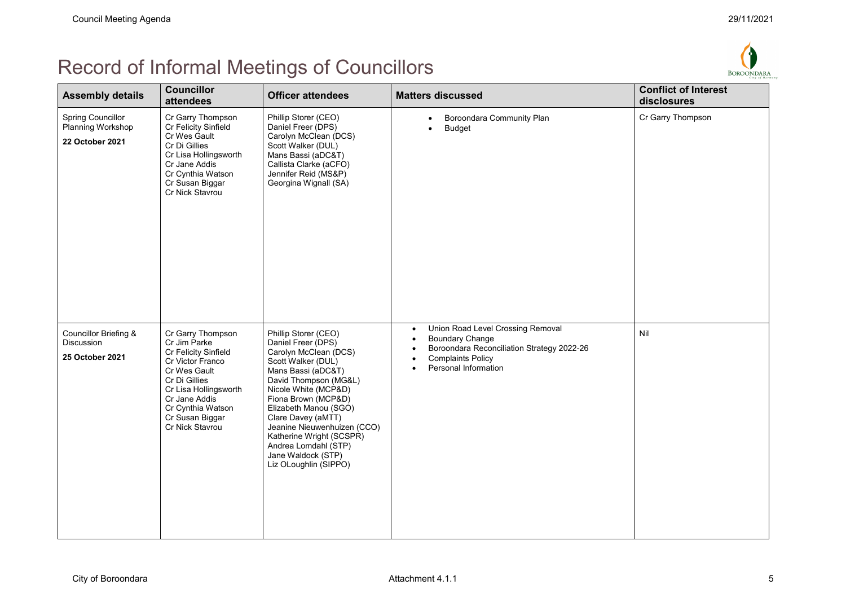## Record of Informal Meetings of Councillors



| <b>Assembly details</b>                                          | <b>Councillor</b><br>attendees                                                                                                                                                                                      | <b>Officer attendees</b>                                                                                                                                                                                                                                                                                                                                                 | <b>Matters discussed</b>                                                                                                                                                   | <b>Conflict of Interest</b><br>disclosures |
|------------------------------------------------------------------|---------------------------------------------------------------------------------------------------------------------------------------------------------------------------------------------------------------------|--------------------------------------------------------------------------------------------------------------------------------------------------------------------------------------------------------------------------------------------------------------------------------------------------------------------------------------------------------------------------|----------------------------------------------------------------------------------------------------------------------------------------------------------------------------|--------------------------------------------|
| <b>Spring Councillor</b><br>Planning Workshop<br>22 October 2021 | Cr Garry Thompson<br>Cr Felicity Sinfield<br>Cr Wes Gault<br>Cr Di Gillies<br>Cr Lisa Hollingsworth<br>Cr Jane Addis<br>Cr Cynthia Watson<br>Cr Susan Biggar<br>Cr Nick Stavrou                                     | Phillip Storer (CEO)<br>Daniel Freer (DPS)<br>Carolyn McClean (DCS)<br>Scott Walker (DUL)<br>Mans Bassi (aDC&T)<br>Callista Clarke (aCFO)<br>Jennifer Reid (MS&P)<br>Georgina Wignall (SA)                                                                                                                                                                               | Boroondara Community Plan<br>$\bullet$<br><b>Budget</b>                                                                                                                    | Cr Garry Thompson                          |
| Councillor Briefing &<br><b>Discussion</b><br>25 October 2021    | Cr Garry Thompson<br>Cr Jim Parke<br>Cr Felicity Sinfield<br>Cr Victor Franco<br>Cr Wes Gault<br>Cr Di Gillies<br>Cr Lisa Hollingsworth<br>Cr Jane Addis<br>Cr Cynthia Watson<br>Cr Susan Biggar<br>Cr Nick Stavrou | Phillip Storer (CEO)<br>Daniel Freer (DPS)<br>Carolyn McClean (DCS)<br>Scott Walker (DUL)<br>Mans Bassi (aDC&T)<br>David Thompson (MG&L)<br>Nicole White (MCP&D)<br>Fiona Brown (MCP&D)<br>Elizabeth Manou (SGO)<br>Clare Davey (aMTT)<br>Jeanine Nieuwenhuizen (CCO)<br>Katherine Wright (SCSPR)<br>Andrea Lomdahl (STP)<br>Jane Waldock (STP)<br>Liz OLoughlin (SIPPO) | Union Road Level Crossing Removal<br>$\bullet$<br><b>Boundary Change</b><br>Boroondara Reconciliation Strategy 2022-26<br><b>Complaints Policy</b><br>Personal Information | Nil                                        |